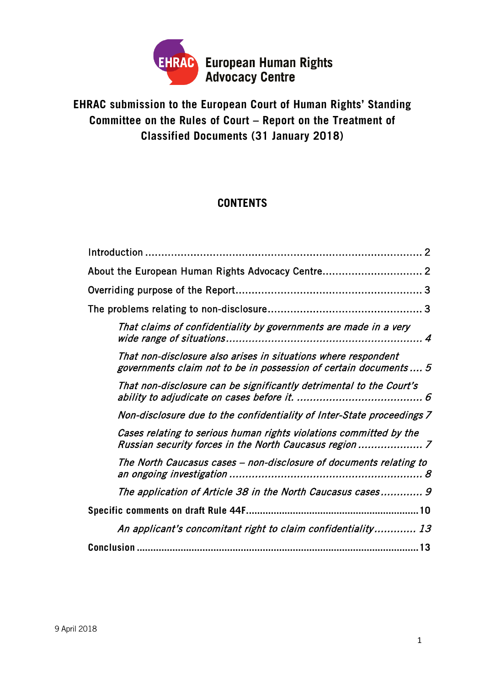

# **EHRAC submission to the European Court of Human Rights' Standing Committee on the Rules of Court – Report on the Treatment of Classified Documents (31 January 2018)**

# **CONTENTS**

| About the European Human Rights Advocacy Centre 2                                                                                  |
|------------------------------------------------------------------------------------------------------------------------------------|
|                                                                                                                                    |
|                                                                                                                                    |
| That claims of confidentiality by governments are made in a very                                                                   |
| That non-disclosure also arises in situations where respondent<br>governments claim not to be in possession of certain documents 5 |
| That non-disclosure can be significantly detrimental to the Court's                                                                |
| Non-disclosure due to the confidentiality of Inter-State proceedings 7                                                             |
| Cases relating to serious human rights violations committed by the                                                                 |
| The North Caucasus cases – non-disclosure of documents relating to                                                                 |
| The application of Article 38 in the North Caucasus cases 9                                                                        |
|                                                                                                                                    |
| An applicant's concomitant right to claim confidentiality 13                                                                       |
| Conclusion                                                                                                                         |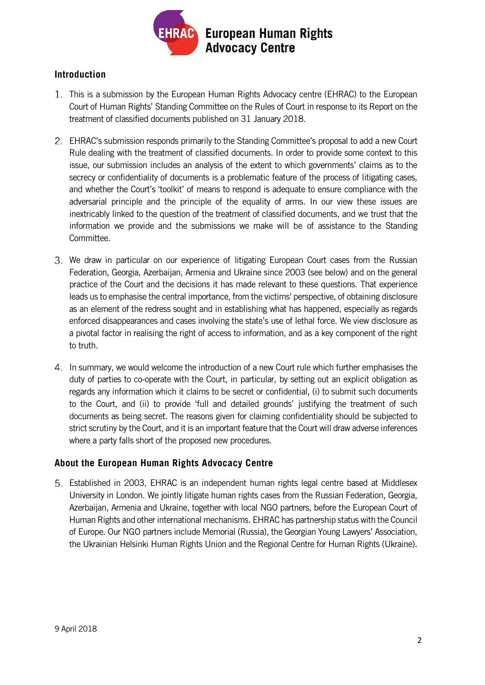

## <span id="page-1-0"></span>**Introduction**

- This is a submission by the European Human Rights Advocacy centre (EHRAC) to the European Court of Human Rights' Standing Committee on the Rules of Court in response to its Report on the treatment of classified documents published on 31 January 2018.
- EHRAC's submission responds primarily to the Standing Committee's proposal to add a new Court Rule dealing with the treatment of classified documents. In order to provide some context to this issue, our submission includes an analysis of the extent to which governments' claims as to the secrecy or confidentiality of documents is a problematic feature of the process of litigating cases, and whether the Court's 'toolkit' of means to respond is adequate to ensure compliance with the adversarial principle and the principle of the equality of arms. In our view these issues are inextricably linked to the question of the treatment of classified documents, and we trust that the information we provide and the submissions we make will be of assistance to the Standing Committee.
- We draw in particular on our experience of litigating European Court cases from the Russian Federation, Georgia, Azerbaijan, Armenia and Ukraine since 2003 (see below) and on the general practice of the Court and the decisions it has made relevant to these questions. That experience leads us to emphasise the central importance, from the victims' perspective, of obtaining disclosure as an element of the redress sought and in establishing what has happened, especially as regards enforced disappearances and cases involving the state's use of lethal force. We view disclosure as a pivotal factor in realising the right of access to information, and as a key component of the right to truth.
- In summary, we would welcome the introduction of a new Court rule which further emphasises the duty of parties to co-operate with the Court, in particular, by setting out an explicit obligation as regards any information which it claims to be secret or confidential, (i) to submit such documents to the Court, and (ii) to provide 'full and detailed grounds' justifying the treatment of such documents as being secret. The reasons given for claiming confidentiality should be subjected to strict scrutiny by the Court, and it is an important feature that the Court will draw adverse inferences where a party falls short of the proposed new procedures.

#### <span id="page-1-1"></span>**About the European Human Rights Advocacy Centre**

Established in 2003, EHRAC is an independent human rights legal centre based at Middlesex University in London. We jointly litigate human rights cases from the Russian Federation, Georgia, Azerbaijan, Armenia and Ukraine, together with local NGO partners, before the European Court of Human Rights and other international mechanisms. EHRAC has partnership status with the Council of Europe. Our NGO partners include Memorial (Russia), the Georgian Young Lawyers' Association, the Ukrainian Helsinki Human Rights Union and the Regional Centre for Human Rights (Ukraine).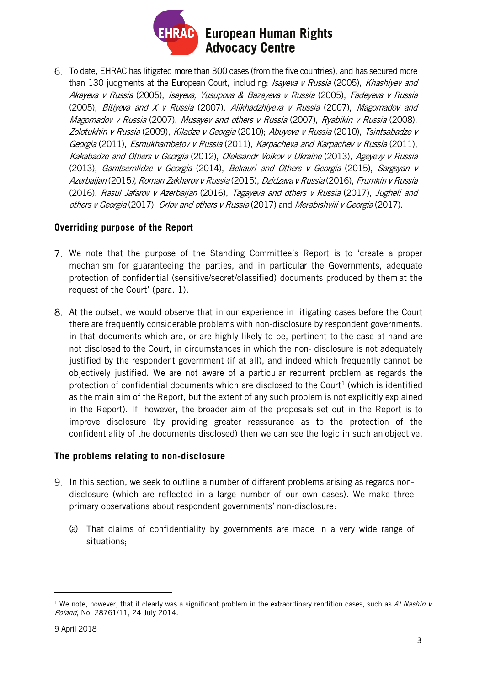

To date, EHRAC has litigated more than 300 cases (from the five countries), and has secured more than 130 judgments at the European Court, including: Isayeva v Russia (2005), Khashiyev and Akayeva v Russia (2005), Isayeva, Yusupova & Bazayeva v Russia (2005), Fadeyeva v Russia (2005), Bitiyeva and  $X$  v Russia (2007), Alikhadzhiyeva v Russia (2007), Magomadov and Magomadov v Russia (2007), Musayev and others v Russia (2007), Ryabikin v Russia (2008), Zolotukhin v Russia (2009), Kiladze v Georgia (2010); Abuyeva v Russia (2010), Tsintsabadze v Georgia (2011), Esmukhambetov v Russia (2011), Karpacheva and Karpachev v Russia (2011), Kakabadze and Others v Georgia (2012), Oleksandr Volkov v Ukraine (2013), Ageyevy v Russia (2013), Gamtsemlidze v Georgia (2014), Bekauri and Others v Georgia (2015), Sargsyan v Azerbaijan (2015), Roman Zakharov v Russia (2015), Dzidzava v Russia (2016), Frumkin v Russia (2016), Rasul Jafarov v Azerbaijan (2016), Tagayeva and others v Russia (2017), Jugheli and others v Georgia (2017), Orlov and others v Russia (2017) and Merabishvili v Georgia (2017).

#### <span id="page-2-0"></span>**Overriding purpose of the Report**

- We note that the purpose of the Standing Committee's Report is to 'create a proper mechanism for guaranteeing the parties, and in particular the Governments, adequate protection of confidential (sensitive/secret/classified) documents produced by them at the request of the Court' (para. 1).
- At the outset, we would observe that in our experience in litigating cases before the Court there are frequently considerable problems with non-disclosure by respondent governments, in that documents which are, or are highly likely to be, pertinent to the case at hand are not disclosed to the Court, in circumstances in which the non- disclosure is not adequately justified by the respondent government (if at all), and indeed which frequently cannot be objectively justified. We are not aware of a particular recurrent problem as regards the protection of confidential documents which are disclosed to the Court<sup>[1](#page-2-2)</sup> (which is identified as the main aim of the Report, but the extent of any such problem is not explicitly explained in the Report). If, however, the broader aim of the proposals set out in the Report is to improve disclosure (by providing greater reassurance as to the protection of the confidentiality of the documents disclosed) then we can see the logic in such an objective.

## <span id="page-2-1"></span>**The problems relating to non-disclosure**

- 9. In this section, we seek to outline a number of different problems arising as regards nondisclosure (which are reflected in a large number of our own cases). We make three primary observations about respondent governments' non-disclosure:
	- (a) That claims of confidentiality by governments are made in a very wide range of situations;

<span id="page-2-2"></span><sup>&</sup>lt;sup>1</sup> We note, however, that it clearly was a significant problem in the extraordinary rendition cases, such as Al Nashiri  $v$ Poland, No. 28761/11, 24 July 2014.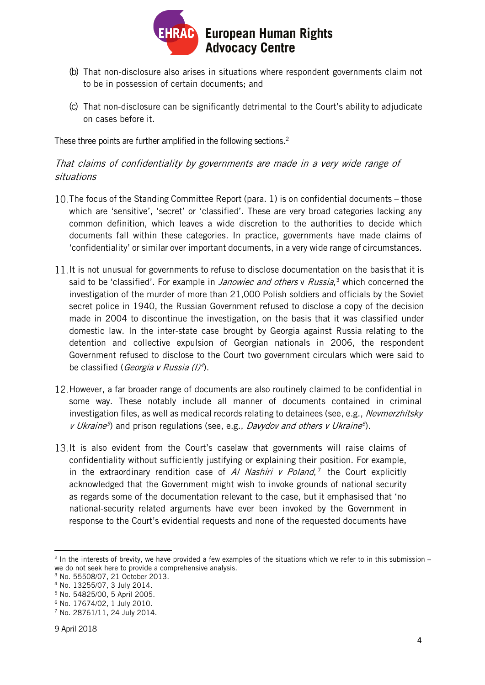

- (b) That non-disclosure also arises in situations where respondent governments claim not to be in possession of certain documents; and
- (c) That non-disclosure can be significantly detrimental to the Court's ability to adjudicate on cases before it.

These three points are further amplified in the following sections.<sup>2</sup>

# <span id="page-3-0"></span>That claims of confidentiality by governments are made in a very wide range of situations

- 10. The focus of the Standing Committee Report (para. 1) is on confidential documents those which are 'sensitive', 'secret' or 'classified'. These are very broad categories lacking any common definition, which leaves a wide discretion to the authorities to decide which documents fall within these categories. In practice, governments have made claims of 'confidentiality' or similar over important documents, in a very wide range of circumstances.
- 11. It is not unusual for governments to refuse to disclose documentation on the basis that it is said to be 'classified'. For example in *Janowiec and others* v *Russia*,<sup>[3](#page-3-2)</sup> which concerned the investigation of the murder of more than 21,000 Polish soldiers and officials by the Soviet secret police in 1940, the Russian Government refused to disclose a copy of the decision made in 2004 to discontinue the investigation, on the basis that it was classified under domestic law. In the inter-state case brought by Georgia against Russia relating to the detention and collective expulsion of Georgian nationals in 2006, the respondent Government refused to disclose to the Court two government circulars which were said to be classified (*Georgia v Russia (I)<sup>[4](#page-3-3)</sup>*).
- 12. However, a far broader range of documents are also routinely claimed to be confidential in some way. These notably include all manner of documents contained in criminal investigation files, as well as medical records relating to detainees (see, e.g., Nevmerzhitsky v Ukraine<sup>[5](#page-3-4)</sup>) and prison regulations (see, e.g., Davydov and others v Ukraine<sup>[6](#page-3-5)</sup>).
- 13. It is also evident from the Court's caselaw that governments will raise claims of confidentiality without sufficiently justifying or explaining their position. For example, in the extraordinary rendition case of Al Nashiri v Poland,<sup>[7](#page-3-6)</sup> the Court explicitly acknowledged that the Government might wish to invoke grounds of national security as regards some of the documentation relevant to the case, but it emphasised that 'no national-security related arguments have ever been invoked by the Government in response to the Court's evidential requests and none of the requested documents have

<span id="page-3-1"></span> $2$  In the interests of brevity, we have provided a few examples of the situations which we refer to in this submission – we do not seek here to provide a comprehensive analysis.

<span id="page-3-2"></span><sup>3</sup> No. 55508/07, 21 October 2013.

<span id="page-3-3"></span><sup>4</sup> No. 13255/07, 3 July 2014.

<span id="page-3-4"></span><sup>5</sup> No. 54825/00, 5 April 2005.

<span id="page-3-5"></span><sup>6</sup> No. 17674/02, 1 July 2010.

<span id="page-3-6"></span><sup>7</sup> No. 28761/11, 24 July 2014.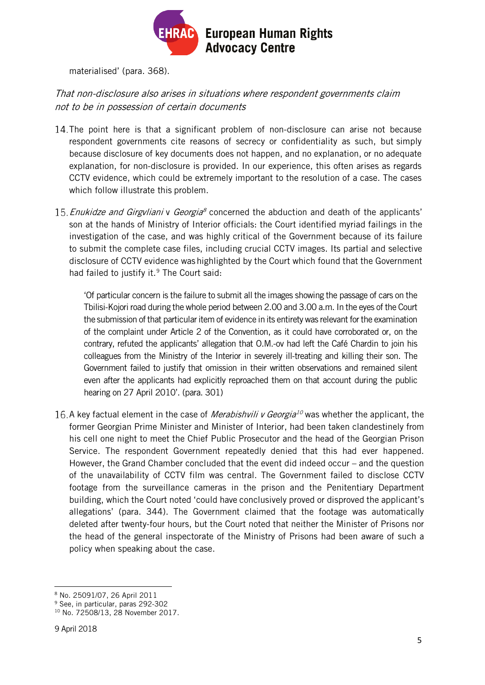

materialised' (para. 368).

# <span id="page-4-0"></span>That non-disclosure also arises in situations where respondent governments claim not to be in possession of certain documents

- 14. The point here is that a significant problem of non-disclosure can arise not because respondent governments cite reasons of secrecy or confidentiality as such, but simply because disclosure of key documents does not happen, and no explanation, or no adequate explanation, for non-disclosure is provided. In our experience, this often arises as regards CCTV evidence, which could be extremely important to the resolution of a case. The cases which follow illustrate this problem.
- 15. Enukidze and Girgyliani v Georgia<sup>[8](#page-4-1)</sup> concerned the abduction and death of the applicants' son at the hands of Ministry of Interior officials: the Court identified myriad failings in the investigation of the case, and was highly critical of the Government because of its failure to submit the complete case files, including crucial CCTV images. Its partial and selective disclosure of CCTV evidence washighlighted by the Court which found that the Government had failed to justify it.<sup>[9](#page-4-2)</sup> The Court said:

'Of particular concern is the failure to submit all the images showing the passage of cars on the Tbilisi-Kojori road during the whole period between 2.00 and 3.00 a.m. In the eyes of the Court the submission of that particular item of evidence in its entirety was relevant for the examination of the complaint under Article 2 of the Convention, as it could have corroborated or, on the contrary, refuted the applicants' allegation that O.M.-ov had left the Café Chardin to join his colleagues from the Ministry of the Interior in severely ill-treating and killing their son. The Government failed to justify that omission in their written observations and remained silent even after the applicants had explicitly reproached them on that account during the public hearing on 27 April 2010'. (para. 301)

16. A key factual element in the case of *Merabishvili v Georgia<sup>[10](#page-4-3)</sup>* was whether the applicant, the former Georgian Prime Minister and Minister of Interior, had been taken clandestinely from his cell one night to meet the Chief Public Prosecutor and the head of the Georgian Prison Service. The respondent Government repeatedly denied that this had ever happened. However, the Grand Chamber concluded that the event did indeed occur – and the question of the unavailability of CCTV film was central. The Government failed to disclose CCTV footage from the surveillance cameras in the prison and the Penitentiary Department building, which the Court noted 'could have conclusively proved or disproved the applicant's allegations' (para. 344). The Government claimed that the footage was automatically deleted after twenty-four hours, but the Court noted that neither the Minister of Prisons nor the head of the general inspectorate of the Ministry of Prisons had been aware of such a policy when speaking about the case.

<span id="page-4-1"></span> $\overline{a}$ <sup>8</sup> No. 25091/07, 26 April 2011

<span id="page-4-3"></span><span id="page-4-2"></span><sup>9</sup> See, in particular, paras 292-302

<sup>10</sup> No. 72508/13, 28 November 2017.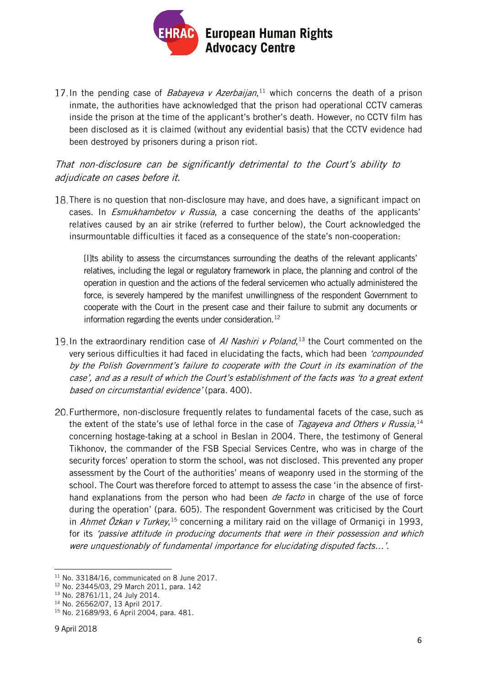

In the pending case of *Babayeva v Azerbaijan*,<sup>[11](#page-5-1)</sup> which concerns the death of a prison inmate, the authorities have acknowledged that the prison had operational CCTV cameras inside the prison at the time of the applicant's brother's death. However, no CCTV film has been disclosed as it is claimed (without any evidential basis) that the CCTV evidence had been destroyed by prisoners during a prison riot.

## <span id="page-5-0"></span>That non-disclosure can be significantly detrimental to the Court's ability to adjudicate on cases before it.

18. There is no question that non-disclosure may have, and does have, a significant impact on cases. In *Esmukhambetov v Russia*, a case concerning the deaths of the applicants' relatives caused by an air strike (referred to further below), the Court acknowledged the insurmountable difficulties it faced as a consequence of the state's non-cooperation:

[I]ts ability to assess the circumstances surrounding the deaths of the relevant applicants' relatives, including the legal or regulatory framework in place, the planning and control of the operation in question and the actions of the federal servicemen who actually administered the force, is severely hampered by the manifest unwillingness of the respondent Government to cooperate with the Court in the present case and their failure to submit any documents or information regarding the events under consideration.<sup>[12](#page-5-2)</sup>

- In the extraordinary rendition case of AI Nashiri v Poland,<sup>[13](#page-5-3)</sup> the Court commented on the very serious difficulties it had faced in elucidating the facts, which had been 'compounded' by the Polish Government's failure to cooperate with the Court in its examination of the case', and as a result of which the Court's establishment of the facts was 'to a great extent based on circumstantial evidence' (para. 400).
- Furthermore, non-disclosure frequently relates to fundamental facets of the case, such as the extent of the state's use of lethal force in the case of *Tagayeva and Others v Russia*, [14](#page-5-4) concerning hostage-taking at a school in Beslan in 2004. There, the testimony of General Tikhonov, the commander of the FSB Special Services Centre, who was in charge of the security forces' operation to storm the school, was not disclosed. This prevented any proper assessment by the Court of the authorities' means of weaponry used in the storming of the school. The Court was therefore forced to attempt to assess the case 'in the absence of firsthand explanations from the person who had been *de facto* in charge of the use of force during the operation' (para. 605). The respondent Government was criticised by the Court in Ahmet Özkan v Turkey,<sup>[15](#page-5-5)</sup> concerning a military raid on the village of Ormaniçi in 1993, for its 'passive attitude in producing documents that were in their possession and which were unquestionably of fundamental importance for elucidating disputed facts…'.

<span id="page-5-1"></span><sup>11</sup> No. 33184/16, communicated on 8 June 2017.

<span id="page-5-2"></span><sup>12</sup> No. 23445/03, 29 March 2011, para. 142

<span id="page-5-3"></span><sup>13</sup> No. 28761/11, 24 July 2014.

<span id="page-5-4"></span><sup>14</sup> No. 26562/07, 13 April 2017.

<span id="page-5-5"></span><sup>15</sup> No. 21689/93, 6 April 2004, para. 481.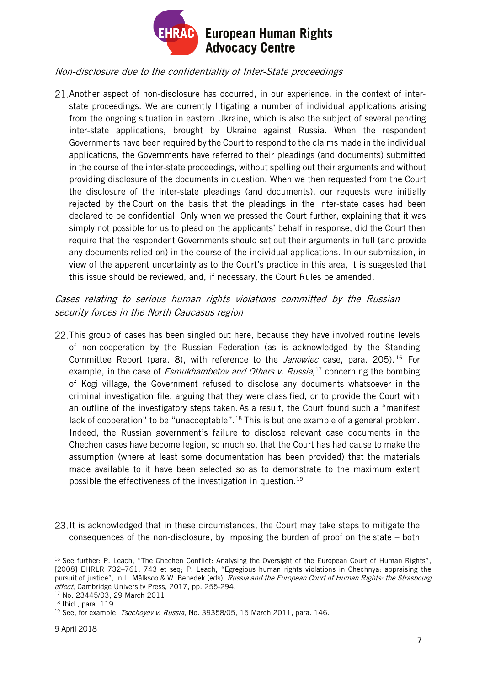

#### <span id="page-6-0"></span>Non-disclosure due to the confidentiality of Inter-State proceedings

Another aspect of non-disclosure has occurred, in our experience, in the context of interstate proceedings. We are currently litigating a number of individual applications arising from the ongoing situation in eastern Ukraine, which is also the subject of several pending inter-state applications, brought by Ukraine against Russia. When the respondent Governments have been required by the Court to respond to the claims made in the individual applications, the Governments have referred to their pleadings (and documents) submitted in the course of the inter-state proceedings, without spelling out their arguments and without providing disclosure of the documents in question. When we then requested from the Court the disclosure of the inter-state pleadings (and documents), our requests were initially rejected by the Court on the basis that the pleadings in the inter-state cases had been declared to be confidential. Only when we pressed the Court further, explaining that it was simply not possible for us to plead on the applicants' behalf in response, did the Court then require that the respondent Governments should set out their arguments in full (and provide any documents relied on) in the course of the individual applications. In our submission, in view of the apparent uncertainty as to the Court's practice in this area, it is suggested that this issue should be reviewed, and, if necessary, the Court Rules be amended.

## <span id="page-6-1"></span>Cases relating to serious human rights violations committed by the Russian security forces in the North Caucasus region

- 22. This group of cases has been singled out here, because they have involved routine levels of non-cooperation by the Russian Federation (as is acknowledged by the Standing Committee Report (para. 8), with reference to the Janowiec case, para. 205).<sup>[16](#page-6-2)</sup> For example, in the case of *Esmukhambetov and Others v. Russia*,<sup>[17](#page-6-3)</sup> concerning the bombing of Kogi village, the Government refused to disclose any documents whatsoever in the criminal investigation file, arguing that they were classified, or to provide the Court with an outline of the investigatory steps taken. As a result, the Court found such a "manifest lack of cooperation" to be "unacceptable".<sup>[18](#page-6-4)</sup> This is but one example of a general problem. Indeed, the Russian government's failure to disclose relevant case documents in the Chechen cases have become legion, so much so, that the Court has had cause to make the assumption (where at least some documentation has been provided) that the materials made available to it have been selected so as to demonstrate to the maximum extent possible the effectiveness of the investigation in question.<sup>[19](#page-6-5)</sup>
- 23. It is acknowledged that in these circumstances, the Court may take steps to mitigate the consequences of the non-disclosure, by imposing the burden of proof on the state – both

<span id="page-6-2"></span> $\overline{a}$ <sup>16</sup> See further: P. Leach, "The Chechen Conflict: Analysing the Oversight of the European Court of Human Rights", [2008] EHRLR 732–761, 743 et seq; P. Leach, "Egregious human rights violations in Chechnya: appraising the pursuit of justice", in L. Mälksoo & W. Benedek (eds), Russia and the European Court of Human Rights: the Strasbourg effect, Cambridge University Press, 2017, pp. 255-294.

<span id="page-6-3"></span><sup>17</sup> No. 23445/03, 29 March 2011

<span id="page-6-4"></span><sup>18</sup> Ibid., para. 119.

<span id="page-6-5"></span><sup>&</sup>lt;sup>19</sup> See, for example, *Tsechoyev v. Russia*, No. 39358/05, 15 March 2011, para. 146.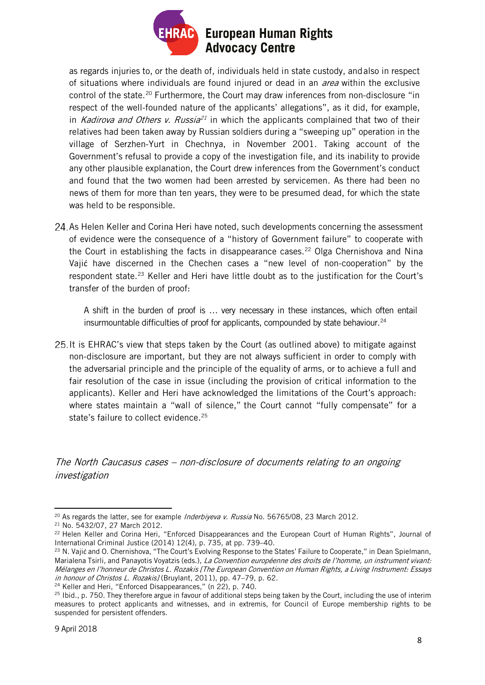

as regards injuries to, or the death of, individuals held in state custody, andalso in respect of situations where individuals are found injured or dead in an *area* within the exclusive control of the state.<sup>[20](#page-7-1)</sup> Furthermore, the Court may draw inferences from non-disclosure "in respect of the well-founded nature of the applicants' allegations", as it did, for example, in Kadirova and Others v. Russia<sup>[21](#page-7-2)</sup> in which the applicants complained that two of their relatives had been taken away by Russian soldiers during a "sweeping up" operation in the village of Serzhen-Yurt in Chechnya, in November 2001. Taking account of the Government's refusal to provide a copy of the investigation file, and its inability to provide any other plausible explanation, the Court drew inferences from the Government's conduct and found that the two women had been arrested by servicemen. As there had been no news of them for more than ten years, they were to be presumed dead, for which the state was held to be responsible.

24. As Helen Keller and Corina Heri have noted, such developments concerning the assessment of evidence were the consequence of a "history of Government failure" to cooperate with the Court in establishing the facts in disappearance cases.<sup>[22](#page-7-3)</sup> Olga Chernishova and Nina Vajić have discerned in the Chechen cases a "new level of non-cooperation" by the respondent state.<sup>[23](#page-7-4)</sup> Keller and Heri have little doubt as to the justification for the Court's transfer of the burden of proof:

A shift in the burden of proof is … very necessary in these instances, which often entail insurmountable difficulties of proof for applicants, compounded by state behaviour. $24$ 

25. It is EHRAC's view that steps taken by the Court (as outlined above) to mitigate against non-disclosure are important, but they are not always sufficient in order to comply with the adversarial principle and the principle of the equality of arms, or to achieve a full and fair resolution of the case in issue (including the provision of critical information to the applicants). Keller and Heri have acknowledged the limitations of the Court's approach: where states maintain a "wall of silence," the Court cannot "fully compensate" for a state's failure to collect evidence.<sup>[25](#page-7-6)</sup>

<span id="page-7-0"></span>The North Caucasus cases – non-disclosure of documents relating to an ongoing investigation

<span id="page-7-5"></span><sup>24</sup> Keller and Heri, "Enforced Disappearances," (n 22), p. 740.

<span id="page-7-1"></span><sup>1</sup> <sup>20</sup> As regards the latter, see for example Inderbiyeva v. Russia No. 56765/08, 23 March 2012.

<span id="page-7-2"></span><sup>21</sup> No. 5432/07, 27 March 2012.

<span id="page-7-3"></span><sup>22</sup> Helen Keller and Corina Heri, "Enforced Disappearances and the European Court of Human Rights", Journal of International Criminal Justice (2014) 12(4), p. 735, at pp. 739–40.

<span id="page-7-4"></span><sup>&</sup>lt;sup>23</sup> N. Vajić and O. Chernishova, "The Court's Evolving Response to the States' Failure to Cooperate," in Dean Spielmann, Marialena Tsirli, and Panayotis Voyatzis (eds.), La Convention européenne des droits de l'homme, un instrument vivant: Mélanges en l'honneur de Christos L. Rozakis [The European Convention on Human Rights, a Living Instrument: Essays in honour of Christos L. Rozakis] (Bruylant, 2011), pp. 47-79, p. 62.

<span id="page-7-6"></span><sup>&</sup>lt;sup>25</sup> Ibid., p. 750. They therefore argue in favour of additional steps being taken by the Court, including the use of interim measures to protect applicants and witnesses, and in extremis, for Council of Europe membership rights to be suspended for persistent offenders.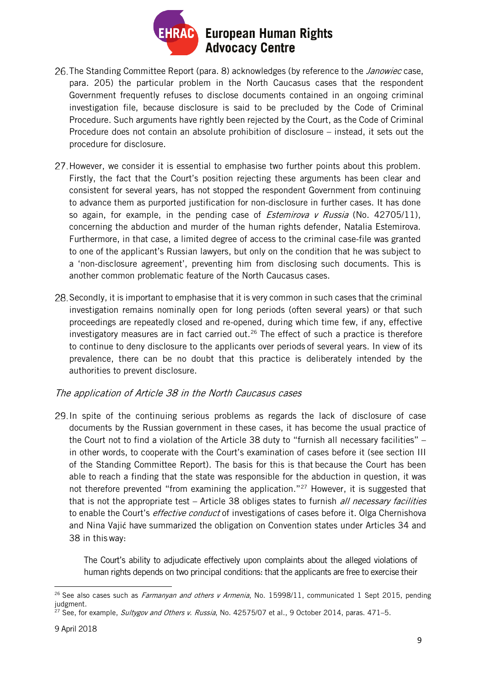

- 26. The Standing Committee Report (para. 8) acknowledges (by reference to the *Janowiec* case, para. 205) the particular problem in the North Caucasus cases that the respondent Government frequently refuses to disclose documents contained in an ongoing criminal investigation file, because disclosure is said to be precluded by the Code of Criminal Procedure. Such arguments have rightly been rejected by the Court, as the Code of Criminal Procedure does not contain an absolute prohibition of disclosure – instead, it sets out the procedure for disclosure.
- 27. However, we consider it is essential to emphasise two further points about this problem. Firstly, the fact that the Court's position rejecting these arguments has been clear and consistent for several years, has not stopped the respondent Government from continuing to advance them as purported justification for non-disclosure in further cases. It has done so again, for example, in the pending case of *Estemirova v Russia* (No. 42705/11), concerning the abduction and murder of the human rights defender, Natalia Estemirova. Furthermore, in that case, a limited degree of access to the criminal case-file was granted to one of the applicant's Russian lawyers, but only on the condition that he was subject to a 'non-disclosure agreement', preventing him from disclosing such documents. This is another common problematic feature of the North Caucasus cases.
- 28. Secondly, it is important to emphasise that it is very common in such cases that the criminal investigation remains nominally open for long periods (often several years) or that such proceedings are repeatedly closed and re-opened, during which time few, if any, effective investigatory measures are in fact carried out.<sup>[26](#page-8-1)</sup> The effect of such a practice is therefore to continue to deny disclosure to the applicants over periods of several years. In view of its prevalence, there can be no doubt that this practice is deliberately intended by the authorities to prevent disclosure.

#### <span id="page-8-0"></span>The application of Article 38 in the North Caucasus cases

29. In spite of the continuing serious problems as regards the lack of disclosure of case documents by the Russian government in these cases, it has become the usual practice of the Court not to find a violation of the Article 38 duty to "furnish all necessary facilities" – in other words, to cooperate with the Court's examination of cases before it (see section III of the Standing Committee Report). The basis for this is that because the Court has been able to reach a finding that the state was responsible for the abduction in question, it was not therefore prevented "from examining the application."<sup>27</sup> However, it is suggested that that is not the appropriate test – Article 38 obliges states to furnish all necessary facilities to enable the Court's *effective conduct* of investigations of cases before it. Olga Chernishova and Nina Vajić have summarized the obligation on Convention states under Articles 34 and 38 in thisway:

The Court's ability to adjudicate effectively upon complaints about the alleged violations of human rights depends on two principal conditions: that the applicants are free to exercise their

<span id="page-8-1"></span> $\overline{a}$ <sup>26</sup> See also cases such as *Farmanyan and others v Armenia*, No. 15998/11, communicated 1 Sept 2015, pending judgment.

<span id="page-8-2"></span><sup>&</sup>lt;sup>27</sup> See, for example, Sultygov and Others v. Russia, No. 42575/07 et al., 9 October 2014, paras. 471-5.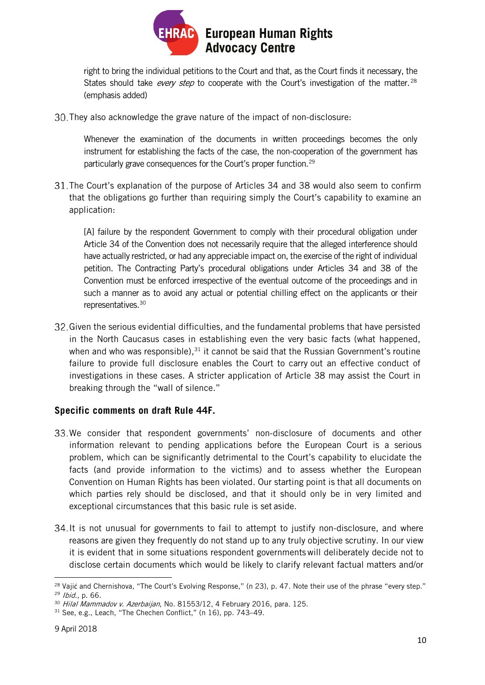

right to bring the individual petitions to the Court and that, as the Court finds it necessary, the States should take *every step* to cooperate with the Court's investigation of the matter.<sup>[28](#page-9-1)</sup> (emphasis added)

They also acknowledge the grave nature of the impact of non-disclosure:

Whenever the examination of the documents in written proceedings becomes the only instrument for establishing the facts of the case, the non-cooperation of the government has particularly grave consequences for the Court's proper function.<sup>29</sup>

The Court's explanation of the purpose of Articles 34 and 38 would also seem to confirm that the obligations go further than requiring simply the Court's capability to examine an application:

[A] failure by the respondent Government to comply with their procedural obligation under Article 34 of the Convention does not necessarily require that the alleged interference should have actually restricted, or had any appreciable impact on, the exercise of the right of individual petition. The Contracting Party's procedural obligations under Articles 34 and 38 of the Convention must be enforced irrespective of the eventual outcome of the proceedings and in such a manner as to avoid any actual or potential chilling effect on the applicants or their representatives.<sup>[30](#page-9-3)</sup>

Given the serious evidential difficulties, and the fundamental problems that have persisted in the North Caucasus cases in establishing even the very basic facts (what happened, when and who was responsible), $31$  it cannot be said that the Russian Government's routine failure to provide full disclosure enables the Court to carry out an effective conduct of investigations in these cases. A stricter application of Article 38 may assist the Court in breaking through the "wall of silence."

## <span id="page-9-0"></span>**Specific comments on draft Rule 44F.**

- 33. We consider that respondent governments' non-disclosure of documents and other information relevant to pending applications before the European Court is a serious problem, which can be significantly detrimental to the Court's capability to elucidate the facts (and provide information to the victims) and to assess whether the European Convention on Human Rights has been violated. Our starting point is that all documents on which parties rely should be disclosed, and that it should only be in very limited and exceptional circumstances that this basic rule is set aside.
- 34. It is not unusual for governments to fail to attempt to justify non-disclosure, and where reasons are given they frequently do not stand up to any truly objective scrutiny. In our view it is evident that in some situations respondent governmentswill deliberately decide not to disclose certain documents which would be likely to clarify relevant factual matters and/or

<span id="page-9-1"></span> $\overline{a}$ <sup>28</sup> Vajić and Chernishova, "The Court's Evolving Response," (n 23), p. 47. Note their use of the phrase "every step."

<span id="page-9-2"></span><sup>29</sup> Ibid., p. 66.

<span id="page-9-3"></span> $30$  Hilal Mammadov v. Azerbaijan, No. 81553/12, 4 February 2016, para. 125.

<span id="page-9-4"></span><sup>31</sup> See, e.g., Leach, "The Chechen Conflict," (n 16), pp. 743–49.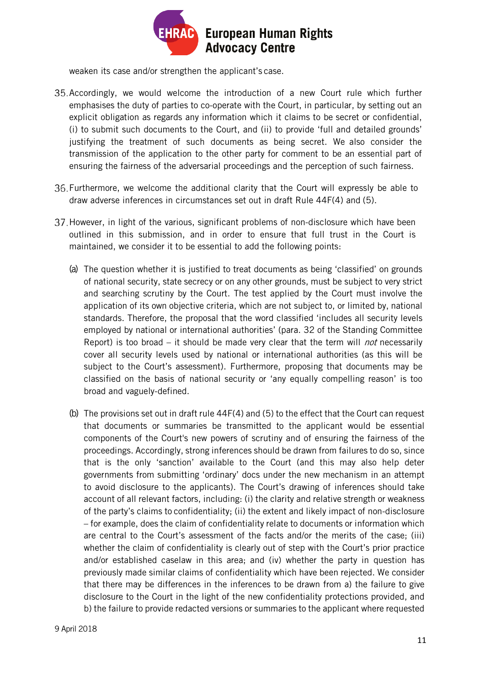

weaken its case and/or strengthen the applicant's case.

- 35. Accordingly, we would welcome the introduction of a new Court rule which further emphasises the duty of parties to co-operate with the Court, in particular, by setting out an explicit obligation as regards any information which it claims to be secret or confidential, (i) to submit such documents to the Court, and (ii) to provide 'full and detailed grounds' justifying the treatment of such documents as being secret. We also consider the transmission of the application to the other party for comment to be an essential part of ensuring the fairness of the adversarial proceedings and the perception of such fairness.
- Furthermore, we welcome the additional clarity that the Court will expressly be able to draw adverse inferences in circumstances set out in draft Rule 44F(4) and (5).
- 37. However, in light of the various, significant problems of non-disclosure which have been outlined in this submission, and in order to ensure that full trust in the Court is maintained, we consider it to be essential to add the following points:
	- (a) The question whether it is justified to treat documents as being 'classified' on grounds of national security, state secrecy or on any other grounds, must be subject to very strict and searching scrutiny by the Court. The test applied by the Court must involve the application of its own objective criteria, which are not subject to, or limited by, national standards. Therefore, the proposal that the word classified 'includes all security levels employed by national or international authorities' (para. 32 of the Standing Committee Report) is too broad – it should be made very clear that the term will *not* necessarily cover all security levels used by national or international authorities (as this will be subject to the Court's assessment). Furthermore, proposing that documents may be classified on the basis of national security or 'any equally compelling reason' is too broad and vaguely-defined.
	- (b) The provisions set out in draft rule 44F(4) and (5) to the effect that the Court can request that documents or summaries be transmitted to the applicant would be essential components of the Court's new powers of scrutiny and of ensuring the fairness of the proceedings. Accordingly, strong inferences should be drawn from failures to do so, since that is the only 'sanction' available to the Court (and this may also help deter governments from submitting 'ordinary' docs under the new mechanism in an attempt to avoid disclosure to the applicants). The Court's drawing of inferences should take account of all relevant factors, including: (i) the clarity and relative strength or weakness of the party's claims to confidentiality; (ii) the extent and likely impact of non-disclosure – for example, does the claim of confidentiality relate to documents or information which are central to the Court's assessment of the facts and/or the merits of the case; (iii) whether the claim of confidentiality is clearly out of step with the Court's prior practice and/or established caselaw in this area; and (iv) whether the party in question has previously made similar claims of confidentiality which have been rejected. We consider that there may be differences in the inferences to be drawn from a) the failure to give disclosure to the Court in the light of the new confidentiality protections provided, and b) the failure to provide redacted versions or summaries to the applicant where requested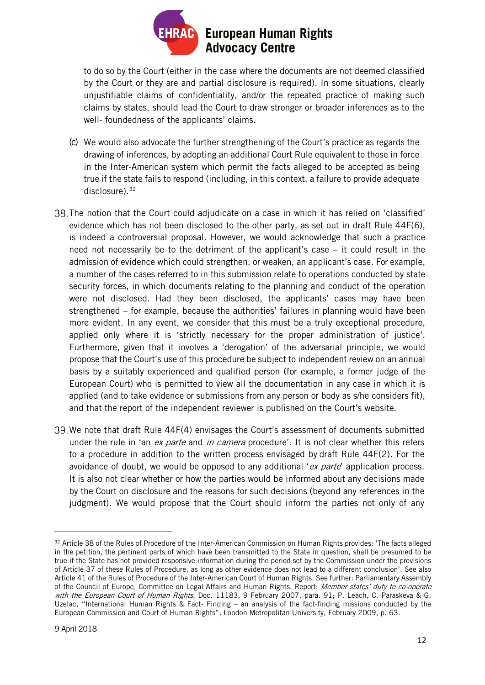

to do so by the Court (either in the case where the documents are not deemed classified by the Court or they are and partial disclosure is required). In some situations, clearly unjustifiable claims of confidentiality, and/or the repeated practice of making such claims by states, should lead the Court to draw stronger or broader inferences as to the well- foundedness of the applicants' claims.

- (c) We would also advocate the further strengthening of the Court's practice as regards the drawing of inferences, by adopting an additional Court Rule equivalent to those in force in the Inter-American system which permit the facts alleged to be accepted as being true if the state fails to respond (including, in this context, a failure to provide adequate disclosure).<sup>[32](#page-11-0)</sup>
- The notion that the Court could adjudicate on a case in which it has relied on 'classified' evidence which has not been disclosed to the other party, as set out in draft Rule 44F(6), is indeed a controversial proposal. However, we would acknowledge that such a practice need not necessarily be to the detriment of the applicant's case – it could result in the admission of evidence which could strengthen, or weaken, an applicant's case. For example, a number of the cases referred to in this submission relate to operations conducted by state security forces, in which documents relating to the planning and conduct of the operation were not disclosed. Had they been disclosed, the applicants' cases may have been strengthened – for example, because the authorities' failures in planning would have been more evident. In any event, we consider that this must be a truly exceptional procedure, applied only where it is 'strictly necessary for the proper administration of justice'. Furthermore, given that it involves a 'derogation' of the adversarial principle, we would propose that the Court's use of this procedure be subject to independent review on an annual basis by a suitably experienced and qualified person (for example, a former judge of the European Court) who is permitted to view all the documentation in any case in which it is applied (and to take evidence or submissions from any person or body as s/he considers fit), and that the report of the independent reviewer is published on the Court's website.
- 39. We note that draft Rule 44F(4) envisages the Court's assessment of documents submitted under the rule in 'an ex parte and in camera procedure'. It is not clear whether this refers to a procedure in addition to the written process envisaged by draft Rule 44F(2). For the avoidance of doubt, we would be opposed to any additional 'ex parte' application process. It is also not clear whether or how the parties would be informed about any decisions made by the Court on disclosure and the reasons for such decisions (beyond any references in the judgment). We would propose that the Court should inform the parties not only of any

<span id="page-11-0"></span><sup>32</sup> Article 38 of the Rules of Procedure of the Inter-American Commission on Human Rights provides: 'The facts alleged in the petition, the pertinent parts of which have been transmitted to the State in question, shall be presumed to be true if the State has not provided responsive information during the period set by the Commission under the provisions of Article 37 of these Rules of Procedure, as long as other evidence does not lead to a different conclusion'. See also Article 41 of the Rules of Procedure of the Inter-American Court of Human Rights. See further: Parliamentary Assembly of the Council of Europe, Committee on Legal Affairs and Human Rights, Report: Member states' duty to co-operate with the European Court of Human Rights, Doc. 11183, 9 February 2007, para. 91; P. Leach, C. Paraskeva & G. Uzelac, "International Human Rights & Fact- Finding – an analysis of the fact-finding missions conducted by the European Commission and Court of Human Rights", London Metropolitan University, February 2009, p. 63.